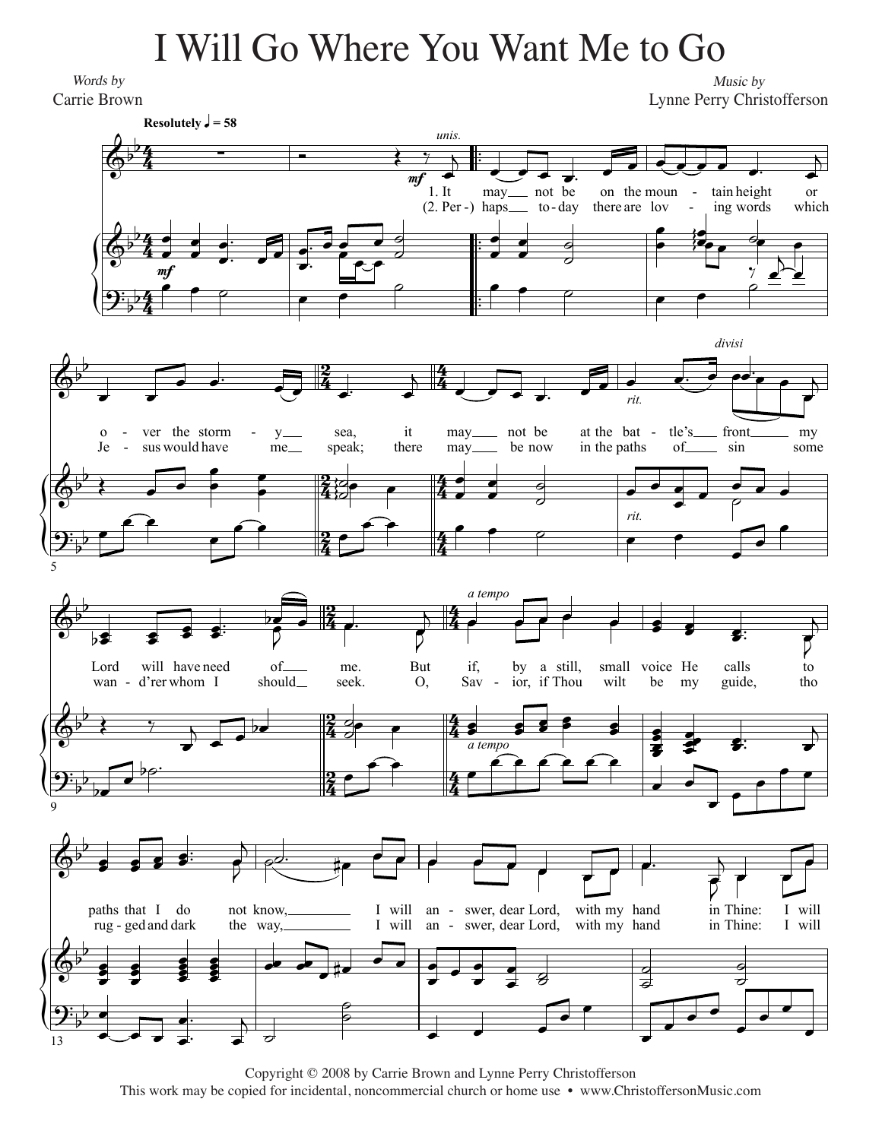## I Will Go Where You Want Me to Go I Will Go Where You Want Me to Go

*Words by* Words by Carrie Brown Carrie Brown

*Music by* Music by Lynne Perry Christofferson Lynne Perry Christofferson



Copyright © 2011 by Carrie Brown and Lynne Perry Christofferson Copyright © 2008 by Carrie Brown and Lynne Perry Christofferson This work may be copied for incidental, noncommercial church or home use • www.ChristoffersonMusic.com